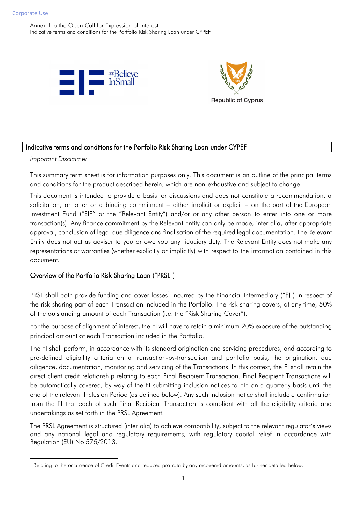Annex II to the Open Call for Expression of Interest: Indicative terms and conditions for the Portfolio Risk Sharing Loan under CYPEF





### Indicative terms and conditions for the Portfolio Risk Sharing Loan under CYPEF

*Important Disclaimer*

 $\overline{\phantom{a}}$ 

This summary term sheet is for information purposes only. This document is an outline of the principal terms and conditions for the product described herein, which are non-exhaustive and subject to change.

This document is intended to provide a basis for discussions and does not constitute a recommendation, a solicitation, an offer or a binding commitment – either implicit or explicit – on the part of the European Investment Fund ("EIF" or the "Relevant Entity") and/or or any other person to enter into one or more transaction(s). Any finance commitment by the Relevant Entity can only be made, inter alia, after appropriate approval, conclusion of legal due diligence and finalisation of the required legal documentation. The Relevant Entity does not act as adviser to you or owe you any fiduciary duty. The Relevant Entity does not make any representations or warranties (whether explicitly or implicitly) with respect to the information contained in this document.

### Overview of the Portfolio Risk Sharing Loan ("PRSL")

PRSL shall both provide funding and cover losses<sup>1</sup> incurred by the Financial Intermediary ("FI") in respect of the risk sharing part of each Transaction included in the Portfolio. The risk sharing covers, at any time, 50% of the outstanding amount of each Transaction (i.e. the "Risk Sharing Cover").

For the purpose of alignment of interest, the FI will have to retain a minimum 20% exposure of the outstanding principal amount of each Transaction included in the Portfolio.

The FI shall perform, in accordance with its standard origination and servicing procedures, and according to pre-defined eligibility criteria on a transaction-by-transaction and portfolio basis, the origination, due diligence, documentation, monitoring and servicing of the Transactions. In this context, the FI shall retain the direct client credit relationship relating to each Final Recipient Transaction. Final Recipient Transactions will be automatically covered, by way of the FI submitting inclusion notices to EIF on a quarterly basis until the end of the relevant Inclusion Period (as defined below). Any such inclusion notice shall include a confirmation from the FI that each of such Final Recipient Transaction is compliant with all the eligibility criteria and undertakings as set forth in the PRSL Agreement.

The PRSL Agreement is structured (inter alia) to achieve compatibility, subject to the relevant regulator's views and any national legal and regulatory requirements, with regulatory capital relief in accordance with Regulation (EU) No 575/2013.

<sup>&</sup>lt;sup>1</sup> Relating to the occurrence of Credit Events and reduced pro-rata by any recovered amounts, as further detailed below.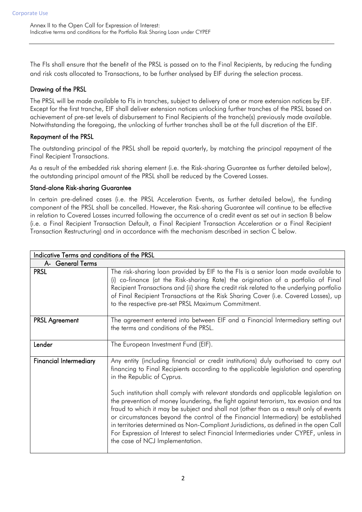The FIs shall ensure that the benefit of the PRSL is passed on to the Final Recipients, by reducing the funding and risk costs allocated to Transactions, to be further analysed by EIF during the selection process.

# Drawing of the PRSL

The PRSL will be made available to FIs in tranches, subject to delivery of one or more extension notices by EIF. Except for the first tranche, EIF shall deliver extension notices unlocking further tranches of the PRSL based on achievement of pre-set levels of disbursement to Final Recipients of the tranche(s) previously made available. Notwithstanding the foregoing, the unlocking of further tranches shall be at the full discretion of the EIF.

## Repayment of the PRSL

The outstanding principal of the PRSL shall be repaid quarterly, by matching the principal repayment of the Final Recipient Transactions.

As a result of the embedded risk sharing element (i.e. the Risk-sharing Guarantee as further detailed below), the outstanding principal amount of the PRSL shall be reduced by the Covered Losses.

### Stand-alone Risk-sharing Guarantee

In certain pre-defined cases (i.e. the PRSL Acceleration Events, as further detailed below), the funding component of the PRSL shall be cancelled. However, the Risk-sharing Guarantee will continue to be effective in relation to Covered Losses incurred following the occurrence of a credit event as set out in section B below (i.e. a Final Recipient Transaction Default, a Final Recipient Transaction Acceleration or a Final Recipient Transaction Restructuring) and in accordance with the mechanism described in section C below.

| Indicative Terms and conditions of the PRSL |                                                                                                                                                                                                                                                                                                                                                                                                                                                                                        |
|---------------------------------------------|----------------------------------------------------------------------------------------------------------------------------------------------------------------------------------------------------------------------------------------------------------------------------------------------------------------------------------------------------------------------------------------------------------------------------------------------------------------------------------------|
| A- General Terms                            |                                                                                                                                                                                                                                                                                                                                                                                                                                                                                        |
| <b>PRSL</b>                                 | The risk-sharing loan provided by EIF to the FIs is a senior loan made available to<br>(i) co-finance (at the Risk-sharing Rate) the origination of a portfolio of Final<br>Recipient Transactions and (ii) share the credit risk related to the underlying portfolio<br>of Final Recipient Transactions at the Risk Sharing Cover (i.e. Covered Losses), up<br>to the respective pre-set PRSL Maximum Commitment.                                                                     |
| <b>PRSL Agreement</b>                       | The agreement entered into between EIF and a Financial Intermediary setting out<br>the terms and conditions of the PRSL.                                                                                                                                                                                                                                                                                                                                                               |
| Lender                                      | The European Investment Fund (EIF).                                                                                                                                                                                                                                                                                                                                                                                                                                                    |
| <b>Financial Intermediary</b>               | Any entity (including financial or credit institutions) duly authorised to carry out<br>financing to Final Recipients according to the applicable legislation and operating<br>in the Republic of Cyprus.<br>Such institution shall comply with relevant standards and applicable legislation on                                                                                                                                                                                       |
|                                             | the prevention of money laundering, the fight against terrorism, tax evasion and tax<br>fraud to which it may be subject and shall not (other than as a result only of events<br>or circumstances beyond the control of the Financial Intermediary) be established<br>in territories determined as Non-Compliant Jurisdictions, as defined in the open Call<br>For Expression of Interest to select Financial Intermediaries under CYPEF, unless in<br>the case of NCJ Implementation. |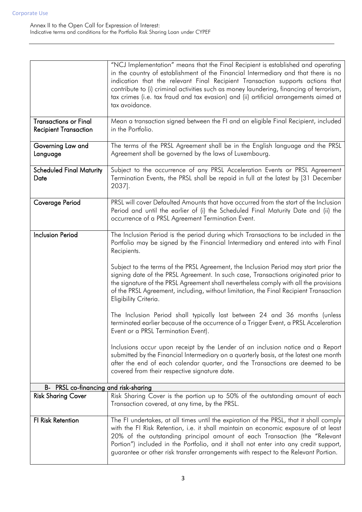|                                                              | "NCJ Implementation" means that the Final Recipient is established and operating<br>in the country of establishment of the Financial Intermediary and that there is no<br>indication that the relevant Final Recipient Transaction supports actions that<br>contribute to (i) criminal activities such as money laundering, financing of terrorism,<br>tax crimes (i.e. tax fraud and tax evasion) and (ii) artificial arrangements aimed at<br>tax avoidance. |
|--------------------------------------------------------------|----------------------------------------------------------------------------------------------------------------------------------------------------------------------------------------------------------------------------------------------------------------------------------------------------------------------------------------------------------------------------------------------------------------------------------------------------------------|
| <b>Transactions or Final</b><br><b>Recipient Transaction</b> | Mean a transaction signed between the FI and an eligible Final Recipient, included<br>in the Portfolio.                                                                                                                                                                                                                                                                                                                                                        |
| Governing Law and<br>Language                                | The terms of the PRSL Agreement shall be in the English language and the PRSL<br>Agreement shall be governed by the laws of Luxembourg.                                                                                                                                                                                                                                                                                                                        |
| <b>Scheduled Final Maturity</b><br>Date                      | Subject to the occurrence of any PRSL Acceleration Events or PRSL Agreement<br>Termination Events, the PRSL shall be repaid in full at the latest by [31 December<br>2037].                                                                                                                                                                                                                                                                                    |
| Coverage Period                                              | PRSL will cover Defaulted Amounts that have occurred from the start of the Inclusion<br>Period and until the earlier of (i) the Scheduled Final Maturity Date and (ii) the<br>occurrence of a PRSL Agreement Termination Event.                                                                                                                                                                                                                                |
| <b>Inclusion Period</b>                                      | The Inclusion Period is the period during which Transactions to be included in the<br>Portfolio may be signed by the Financial Intermediary and entered into with Final<br>Recipients.                                                                                                                                                                                                                                                                         |
|                                                              | Subject to the terms of the PRSL Agreement, the Inclusion Period may start prior the<br>signing date of the PRSL Agreement. In such case, Transactions originated prior to<br>the signature of the PRSL Agreement shall nevertheless comply with all the provisions<br>of the PRSL Agreement, including, without limitation, the Final Recipient Transaction<br>Eligibility Criteria.                                                                          |
|                                                              | The Inclusion Period shall typically last between 24 and 36 months (unless<br>terminated earlier because of the occurrence of a Trigger Event, a PRSL Acceleration<br>Event or a PRSL Termination Event).                                                                                                                                                                                                                                                      |
|                                                              | Inclusions occur upon receipt by the Lender of an inclusion notice and a Report<br>submitted by the Financial Intermediary on a quarterly basis, at the latest one month<br>after the end of each calendar quarter, and the Transactions are deemed to be<br>covered from their respective signature date.                                                                                                                                                     |
| B- PRSL co-financing and risk-sharing                        |                                                                                                                                                                                                                                                                                                                                                                                                                                                                |
| <b>Risk Sharing Cover</b>                                    | Risk Sharing Cover is the portion up to 50% of the outstanding amount of each<br>Transaction covered, at any time, by the PRSL.                                                                                                                                                                                                                                                                                                                                |
| FI Risk Retention                                            | The FI undertakes, at all times until the expiration of the PRSL, that it shall comply<br>with the FI Risk Retention, i.e. it shall maintain an economic exposure of at least<br>20% of the outstanding principal amount of each Transaction (the "Relevant<br>Portion") included in the Portfolio, and it shall not enter into any credit support,<br>guarantee or other risk transfer arrangements with respect to the Relevant Portion.                     |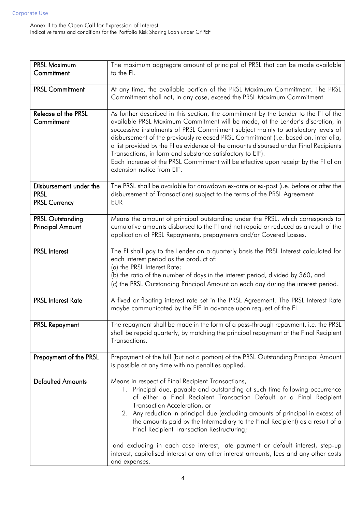| <b>PRSL Maximum</b><br>Commitment                  | The maximum aggregate amount of principal of PRSL that can be made available<br>to the FI.                                                                                                                                                                                                                                                                                                                                                                                                                                                                                                                                                             |
|----------------------------------------------------|--------------------------------------------------------------------------------------------------------------------------------------------------------------------------------------------------------------------------------------------------------------------------------------------------------------------------------------------------------------------------------------------------------------------------------------------------------------------------------------------------------------------------------------------------------------------------------------------------------------------------------------------------------|
|                                                    |                                                                                                                                                                                                                                                                                                                                                                                                                                                                                                                                                                                                                                                        |
| <b>PRSL Commitment</b>                             | At any time, the available portion of the PRSL Maximum Commitment. The PRSL                                                                                                                                                                                                                                                                                                                                                                                                                                                                                                                                                                            |
|                                                    | Commitment shall not, in any case, exceed the PRSL Maximum Commitment.                                                                                                                                                                                                                                                                                                                                                                                                                                                                                                                                                                                 |
| Release of the PRSL<br>Commitment                  | As further described in this section, the commitment by the Lender to the FI of the<br>available PRSL Maximum Commitment will be made, at the Lender's discretion, in<br>successive instalments of PRSL Commitment subject mainly to satisfactory levels of<br>disbursement of the previously released PRSL Commitment (i.e. based on, inter alia,<br>a list provided by the FI as evidence of the amounts disbursed under Final Recipients<br>Transactions, in form and substance satisfactory to EIF).<br>Each increase of the PRSL Commitment will be effective upon receipt by the FI of an<br>extension notice from EIF.                          |
| Disbursement under the<br><b>PRSL</b>              | The PRSL shall be available for drawdown ex-ante or ex-post (i.e. before or after the<br>disbursement of Transactions) subject to the terms of the PRSL Agreement                                                                                                                                                                                                                                                                                                                                                                                                                                                                                      |
| <b>PRSL Currency</b>                               | <b>EUR</b>                                                                                                                                                                                                                                                                                                                                                                                                                                                                                                                                                                                                                                             |
| <b>PRSL Outstanding</b><br><b>Principal Amount</b> | Means the amount of principal outstanding under the PRSL, which corresponds to<br>cumulative amounts disbursed to the FI and not repaid or reduced as a result of the<br>application of PRSL Repayments, prepayments and/or Covered Losses.                                                                                                                                                                                                                                                                                                                                                                                                            |
| <b>PRSL Interest</b>                               | The FI shall pay to the Lender on a quarterly basis the PRSL Interest calculated for<br>each interest period as the product of:<br>(a) the PRSL Interest Rate;<br>(b) the ratio of the number of days in the interest period, divided by 360, and<br>(c) the PRSL Outstanding Principal Amount on each day during the interest period.                                                                                                                                                                                                                                                                                                                 |
| <b>PRSL Interest Rate</b>                          | A fixed or floating interest rate set in the PRSL Agreement. The PRSL Interest Rate<br>maybe communicated by the EIF in advance upon request of the FI.                                                                                                                                                                                                                                                                                                                                                                                                                                                                                                |
| <b>PRSL Repayment</b>                              | The repayment shall be made in the form of a pass-through repayment, i.e. the PRSL<br>shall be repaid quarterly, by matching the principal repayment of the Final Recipient<br>Transactions.                                                                                                                                                                                                                                                                                                                                                                                                                                                           |
| Prepayment of the PRSL                             | Prepayment of the full (but not a portion) of the PRSL Outstanding Principal Amount<br>is possible at any time with no penalties applied.                                                                                                                                                                                                                                                                                                                                                                                                                                                                                                              |
| <b>Defaulted Amounts</b>                           | Means in respect of Final Recipient Transactions,<br>1. Principal due, payable and outstanding at such time following occurrence<br>of either a Final Recipient Transaction Default or a Final Recipient<br>Transaction Acceleration, or<br>2. Any reduction in principal due (excluding amounts of principal in excess of<br>the amounts paid by the Intermediary to the Final Recipient) as a result of a<br>Final Recipient Transaction Restructuring;<br>and excluding in each case interest, late payment or default interest, step-up<br>interest, capitalised interest or any other interest amounts, fees and any other costs<br>and expenses. |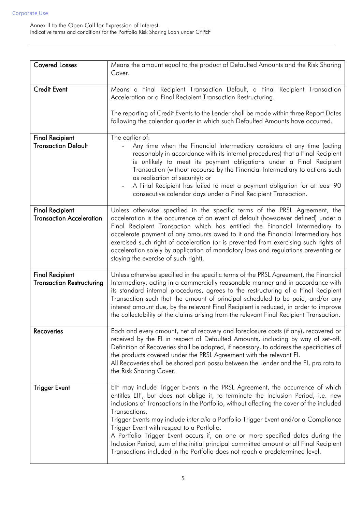| <b>Covered Losses</b>                                      | Means the amount equal to the product of Defaulted Amounts and the Risk Sharing<br>Cover.                                                                                                                                                                                                                                                                                                                                                                                                                                                                                                                                                                                        |
|------------------------------------------------------------|----------------------------------------------------------------------------------------------------------------------------------------------------------------------------------------------------------------------------------------------------------------------------------------------------------------------------------------------------------------------------------------------------------------------------------------------------------------------------------------------------------------------------------------------------------------------------------------------------------------------------------------------------------------------------------|
| <b>Credit Event</b>                                        | Means a Final Recipient Transaction Default, a Final Recipient Transaction<br>Acceleration or a Final Recipient Transaction Restructuring.<br>The reporting of Credit Events to the Lender shall be made within three Report Dates<br>following the calendar quarter in which such Defaulted Amounts have occurred.                                                                                                                                                                                                                                                                                                                                                              |
| <b>Final Recipient</b><br><b>Transaction Default</b>       | The earlier of:<br>Any time when the Financial Intermediary considers at any time (acting<br>reasonably in accordance with its internal procedures) that a Final Recipient<br>is unlikely to meet its payment obligations under a Final Recipient<br>Transaction (without recourse by the Financial Intermediary to actions such<br>as realisation of security); or<br>A Final Recipient has failed to meet a payment obligation for at least 90<br>consecutive calendar days under a Final Recipient Transaction.                                                                                                                                                               |
| <b>Final Recipient</b><br><b>Transaction Acceleration</b>  | Unless otherwise specified in the specific terms of the PRSL Agreement, the<br>acceleration is the occurrence of an event of default (howsoever defined) under a<br>Final Recipient Transaction which has entitled the Financial Intermediary to<br>accelerate payment of any amounts owed to it and the Financial Intermediary has<br>exercised such right of acceleration (or is prevented from exercising such rights of<br>acceleration solely by application of mandatory laws and regulations preventing or<br>staying the exercise of such right).                                                                                                                        |
| <b>Final Recipient</b><br><b>Transaction Restructuring</b> | Unless otherwise specified in the specific terms of the PRSL Agreement, the Financial<br>Intermediary, acting in a commercially reasonable manner and in accordance with<br>its standard internal procedures, agrees to the restructuring of a Final Recipient<br>Transaction such that the amount of principal scheduled to be paid, and/or any<br>interest amount due, by the relevant Final Recipient is reduced, in order to improve<br>the collectability of the claims arising from the relevant Final Recipient Transaction.                                                                                                                                              |
| Recoveries                                                 | Each and every amount, net of recovery and foreclosure costs (if any), recovered or<br>received by the FI in respect of Defaulted Amounts, including by way of set-off.<br>Definition of Recoveries shall be adapted, if necessary, to address the specificities of<br>the products covered under the PRSL Agreement with the relevant FI.<br>All Recoveries shall be shared pari passu between the Lender and the FI, pro rata to<br>the Risk Sharing Cover.                                                                                                                                                                                                                    |
| <b>Trigger Event</b>                                       | EIF may include Trigger Events in the PRSL Agreement, the occurrence of which<br>entitles EIF, but does not oblige it, to terminate the Inclusion Period, i.e. new<br>inclusions of Transactions in the Portfolio, without affecting the cover of the included<br>Transactions.<br>Trigger Events may include inter alia a Portfolio Trigger Event and/or a Compliance<br>Trigger Event with respect to a Portfolio.<br>A Portfolio Trigger Event occurs if, on one or more specified dates during the<br>Inclusion Period, sum of the initial principal committed amount of all Final Recipient<br>Transactions included in the Portfolio does not reach a predetermined level. |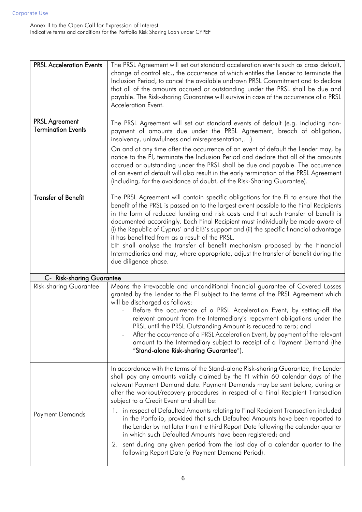| <b>PRSL Acceleration Events</b>                    | The PRSL Agreement will set out standard acceleration events such as cross default,<br>change of control etc., the occurrence of which entitles the Lender to terminate the<br>Inclusion Period, to cancel the available undrawn PRSL Commitment and to declare<br>that all of the amounts accrued or outstanding under the PRSL shall be due and<br>payable. The Risk-sharing Guarantee will survive in case of the occurrence of a PRSL<br>Acceleration Event.                                                                                                                                                                                                                                                                                                                                                                                      |
|----------------------------------------------------|-------------------------------------------------------------------------------------------------------------------------------------------------------------------------------------------------------------------------------------------------------------------------------------------------------------------------------------------------------------------------------------------------------------------------------------------------------------------------------------------------------------------------------------------------------------------------------------------------------------------------------------------------------------------------------------------------------------------------------------------------------------------------------------------------------------------------------------------------------|
| <b>PRSL Agreement</b><br><b>Termination Events</b> | The PRSL Agreement will set out standard events of default (e.g. including non-<br>payment of amounts due under the PRSL Agreement, breach of obligation,<br>insolvency, unlawfulness and misrepresentation,).<br>On and at any time after the occurrence of an event of default the Lender may, by<br>notice to the FI, terminate the Inclusion Period and declare that all of the amounts<br>accrued or outstanding under the PRSL shall be due and payable. The occurrence<br>of an event of default will also result in the early termination of the PRSL Agreement<br>(including, for the avoidance of doubt, of the Risk-Sharing Guarantee).                                                                                                                                                                                                    |
| <b>Transfer of Benefit</b>                         | The PRSL Agreement will contain specific obligations for the FI to ensure that the<br>benefit of the PRSL is passed on to the largest extent possible to the Final Recipients<br>in the form of reduced funding and risk costs and that such transfer of benefit is<br>documented accordingly. Each Final Recipient must individually be made aware of<br>(i) the Republic of Cyprus' and EIB's support and (ii) the specific financial advantage<br>it has benefitted from as a result of the PRSL.<br>EIF shall analyse the transfer of benefit mechanism proposed by the Financial<br>Intermediaries and may, where appropriate, adjust the transfer of benefit during the<br>due diligence phase.                                                                                                                                                 |
| <b>C- Risk-sharing Guarantee</b>                   |                                                                                                                                                                                                                                                                                                                                                                                                                                                                                                                                                                                                                                                                                                                                                                                                                                                       |
| <b>Risk-sharing Guarantee</b>                      | Means the irrevocable and unconditional financial guarantee of Covered Losses<br>granted by the Lender to the FI subject to the terms of the PRSL Agreement which<br>will be discharged as follows:<br>Before the occurrence of a PRSL Acceleration Event, by setting-off the<br>relevant amount from the Intermediary's repayment obligations under the<br>PRSL until the PRSL Outstanding Amount is reduced to zero; and<br>After the occurrence of a PRSL Acceleration Event, by payment of the relevant<br>amount to the Intermediary subject to receipt of a Payment Demand (the<br>"Stand-alone Risk-sharing Guarantee").                                                                                                                                                                                                                       |
| Payment Demands                                    | In accordance with the terms of the Stand-alone Risk-sharing Guarantee, the Lender<br>shall pay any amounts validly claimed by the FI within 60 calendar days of the<br>relevant Payment Demand date. Payment Demands may be sent before, during or<br>after the workout/recovery procedures in respect of a Final Recipient Transaction<br>subject to a Credit Event and shall be:<br>1. in respect of Defaulted Amounts relating to Final Recipient Transaction included<br>in the Portfolio, provided that such Defaulted Amounts have been reported to<br>the Lender by not later than the third Report Date following the calendar quarter<br>in which such Defaulted Amounts have been registered; and<br>sent during any given period from the last day of a calendar quarter to the<br>2.<br>following Report Date (a Payment Demand Period). |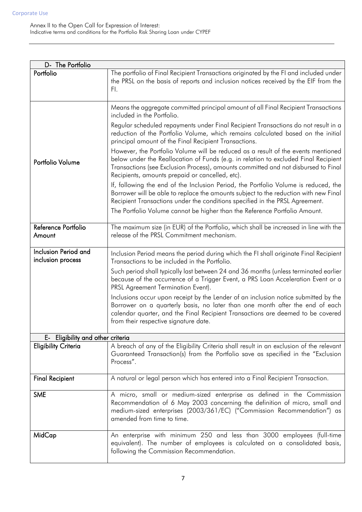| D- The Portfolio                          |                                                                                                                                                                                                                                                                                                                   |
|-------------------------------------------|-------------------------------------------------------------------------------------------------------------------------------------------------------------------------------------------------------------------------------------------------------------------------------------------------------------------|
| Portfolio                                 | The portfolio of Final Recipient Transactions originated by the FI and included under<br>the PRSL on the basis of reports and inclusion notices received by the EIF from the<br>FI.                                                                                                                               |
|                                           | Means the aggregate committed principal amount of all Final Recipient Transactions<br>included in the Portfolio.                                                                                                                                                                                                  |
|                                           | Regular scheduled repayments under Final Recipient Transactions do not result in a<br>reduction of the Portfolio Volume, which remains calculated based on the initial<br>principal amount of the Final Recipient Transactions.                                                                                   |
| Portfolio Volume                          | However, the Portfolio Volume will be reduced as a result of the events mentioned<br>below under the Reallocation of Funds (e.g. in relation to excluded Final Recipient<br>Transactions (see Exclusion Process), amounts committed and not disbursed to Final<br>Recipients, amounts prepaid or cancelled, etc). |
|                                           | If, following the end of the Inclusion Period, the Portfolio Volume is reduced, the<br>Borrower will be able to replace the amounts subject to the reduction with new Final<br>Recipient Transactions under the conditions specified in the PRSL Agreement.                                                       |
|                                           | The Portfolio Volume cannot be higher than the Reference Portfolio Amount.                                                                                                                                                                                                                                        |
| Reference Portfolio<br>Amount             | The maximum size (in EUR) of the Portfolio, which shall be increased in line with the<br>release of the PRSL Commitment mechanism.                                                                                                                                                                                |
| Inclusion Period and<br>inclusion process | Inclusion Period means the period during which the FI shall originate Final Recipient<br>Transactions to be included in the Portfolio.                                                                                                                                                                            |
|                                           | Such period shall typically last between 24 and 36 months (unless terminated earlier<br>because of the occurrence of a Trigger Event, a PRS Loan Acceleration Event or a<br>PRSL Agreement Termination Event).                                                                                                    |
|                                           | Inclusions occur upon receipt by the Lender of an inclusion notice submitted by the<br>Borrower on a quarterly basis, no later than one month after the end of each<br>calendar quarter, and the Final Recipient Transactions are deemed to be covered<br>from their respective signature date.                   |
| E- Eligibility and other criteria         |                                                                                                                                                                                                                                                                                                                   |
| <b>Eligibility Criteria</b>               | A breach of any of the Eligibility Criteria shall result in an exclusion of the relevant<br>Guaranteed Transaction(s) from the Portfolio save as specified in the "Exclusion<br>Process".                                                                                                                         |
| <b>Final Recipient</b>                    | A natural or legal person which has entered into a Final Recipient Transaction.                                                                                                                                                                                                                                   |
| <b>SME</b>                                | A micro, small or medium-sized enterprise as defined in the Commission<br>Recommendation of 6 May 2003 concerning the definition of micro, small and<br>medium-sized enterprises (2003/361/EC) ("Commission Recommendation") as<br>amended from time to time.                                                     |
| MidCap                                    | An enterprise with minimum 250 and less than 3000 employees (full-time<br>equivalent). The number of employees is calculated on a consolidated basis,<br>following the Commission Recommendation.                                                                                                                 |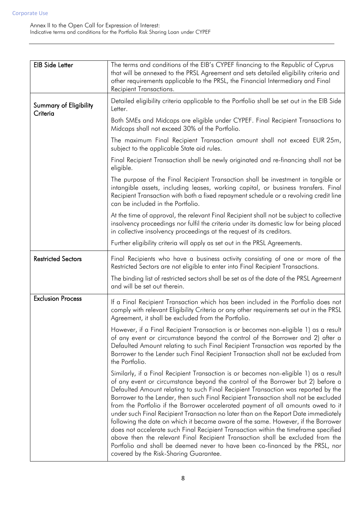| <b>EIB Side Letter</b>             | The terms and conditions of the EIB's CYPEF financing to the Republic of Cyprus<br>that will be annexed to the PRSL Agreement and sets detailed eligibility criteria and<br>other requirements applicable to the PRSL, the Financial Intermediary and Final<br>Recipient Transactions.                                                                                                                                                                                                                                                                                                                                                                                                                                                                                                                                                                                                                                   |
|------------------------------------|--------------------------------------------------------------------------------------------------------------------------------------------------------------------------------------------------------------------------------------------------------------------------------------------------------------------------------------------------------------------------------------------------------------------------------------------------------------------------------------------------------------------------------------------------------------------------------------------------------------------------------------------------------------------------------------------------------------------------------------------------------------------------------------------------------------------------------------------------------------------------------------------------------------------------|
| Summary of Eligibility<br>Criteria | Detailed eligibility criteria applicable to the Portfolio shall be set out in the EIB Side<br>Letter.                                                                                                                                                                                                                                                                                                                                                                                                                                                                                                                                                                                                                                                                                                                                                                                                                    |
|                                    | Both SMEs and Midcaps are eligible under CYPEF. Final Recipient Transactions to<br>Midcaps shall not exceed 30% of the Portfolio.                                                                                                                                                                                                                                                                                                                                                                                                                                                                                                                                                                                                                                                                                                                                                                                        |
|                                    | The maximum Final Recipient Transaction amount shall not exceed EUR 25m,<br>subject to the applicable State aid rules.                                                                                                                                                                                                                                                                                                                                                                                                                                                                                                                                                                                                                                                                                                                                                                                                   |
|                                    | Final Recipient Transaction shall be newly originated and re-financing shall not be<br>eligible.                                                                                                                                                                                                                                                                                                                                                                                                                                                                                                                                                                                                                                                                                                                                                                                                                         |
|                                    | The purpose of the Final Recipient Transaction shall be investment in tangible or<br>intangible assets, including leases, working capital, or business transfers. Final<br>Recipient Transaction with both a fixed repayment schedule or a revolving credit line<br>can be included in the Portfolio.                                                                                                                                                                                                                                                                                                                                                                                                                                                                                                                                                                                                                    |
|                                    | At the time of approval, the relevant Final Recipient shall not be subject to collective<br>insolvency proceedings nor fulfil the criteria under its domestic law for being placed<br>in collective insolvency proceedings at the request of its creditors.                                                                                                                                                                                                                                                                                                                                                                                                                                                                                                                                                                                                                                                              |
|                                    | Further eligibility criteria will apply as set out in the PRSL Agreements.                                                                                                                                                                                                                                                                                                                                                                                                                                                                                                                                                                                                                                                                                                                                                                                                                                               |
| <b>Restricted Sectors</b>          | Final Recipients who have a business activity consisting of one or more of the<br>Restricted Sectors are not eligible to enter into Final Recipient Transactions.                                                                                                                                                                                                                                                                                                                                                                                                                                                                                                                                                                                                                                                                                                                                                        |
|                                    | The binding list of restricted sectors shall be set as of the date of the PRSL Agreement<br>and will be set out therein.                                                                                                                                                                                                                                                                                                                                                                                                                                                                                                                                                                                                                                                                                                                                                                                                 |
| <b>Exclusion Process</b>           | If a Final Recipient Transaction which has been included in the Portfolio does not<br>comply with relevant Eligibility Criteria or any other requirements set out in the PRSL<br>Agreement, it shall be excluded from the Portfolio.                                                                                                                                                                                                                                                                                                                                                                                                                                                                                                                                                                                                                                                                                     |
|                                    | However, if a Final Recipient Transaction is or becomes non-eligible 1) as a result<br>of any event or circumstance beyond the control of the Borrower and 2) after a<br>Defaulted Amount relating to such Final Recipient Transaction was reported by the<br>Borrower to the Lender such Final Recipient Transaction shall not be excluded from<br>the Portfolio.                                                                                                                                                                                                                                                                                                                                                                                                                                                                                                                                                       |
|                                    | Similarly, if a Final Recipient Transaction is or becomes non-eligible 1) as a result<br>of any event or circumstance beyond the control of the Borrower but 2) before a<br>Defaulted Amount relating to such Final Recipient Transaction was reported by the<br>Borrower to the Lender, then such Final Recipient Transaction shall not be excluded<br>from the Portfolio if the Borrower accelerated payment of all amounts owed to it<br>under such Final Recipient Transaction no later than on the Report Date immediately<br>following the date on which it became aware of the same. However, if the Borrower<br>does not accelerate such Final Recipient Transaction within the timeframe specified<br>above then the relevant Final Recipient Transaction shall be excluded from the<br>Portfolio and shall be deemed never to have been co-financed by the PRSL, nor<br>covered by the Risk-Sharing Guarantee. |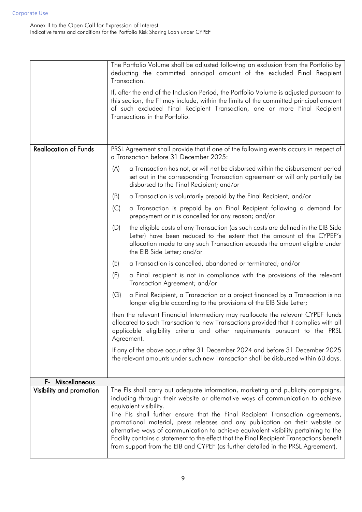|                                              | The Portfolio Volume shall be adjusted following an exclusion from the Portfolio by<br>deducting the committed principal amount of the excluded Final Recipient                                                                                                                                 |  |
|----------------------------------------------|-------------------------------------------------------------------------------------------------------------------------------------------------------------------------------------------------------------------------------------------------------------------------------------------------|--|
|                                              | Transaction.                                                                                                                                                                                                                                                                                    |  |
|                                              | If, after the end of the Inclusion Period, the Portfolio Volume is adjusted pursuant to<br>this section, the FI may include, within the limits of the committed principal amount<br>of such excluded Final Recipient Transaction, one or more Final Recipient<br>Transactions in the Portfolio. |  |
|                                              |                                                                                                                                                                                                                                                                                                 |  |
| <b>Reallocation of Funds</b>                 | PRSL Agreement shall provide that if one of the following events occurs in respect of<br>a Transaction before 31 December 2025:                                                                                                                                                                 |  |
|                                              | a Transaction has not, or will not be disbursed within the disbursement period<br>(A)<br>set out in the corresponding Transaction agreement or will only partially be<br>disbursed to the Final Recipient; and/or                                                                               |  |
|                                              | a Transaction is voluntarily prepaid by the Final Recipient; and/or<br>(B)                                                                                                                                                                                                                      |  |
|                                              | (C)<br>a Transaction is prepaid by an Final Recipient following a demand for<br>prepayment or it is cancelled for any reason; and/or                                                                                                                                                            |  |
|                                              | the eligible costs of any Transaction (as such costs are defined in the EIB Side<br>(D)<br>Letter) have been reduced to the extent that the amount of the CYPEF's<br>allocation made to any such Transaction exceeds the amount eligible under<br>the EIB Side Letter; and/or                   |  |
|                                              | a Transaction is cancelled, abandoned or terminated; and/or<br>(E)                                                                                                                                                                                                                              |  |
|                                              | (F)<br>a Final recipient is not in compliance with the provisions of the relevant<br>Transaction Agreement; and/or                                                                                                                                                                              |  |
|                                              | a Final Recipient, a Transaction or a project financed by a Transaction is no<br>(G)<br>longer eligible according to the provisions of the EIB Side Letter;                                                                                                                                     |  |
|                                              | then the relevant Financial Intermediary may reallocate the relevant CYPEF funds<br>allocated to such Transaction to new Transactions provided that it complies with all<br>applicable eligibility criteria and other requirements pursuant to the PRSL<br>Agreement.                           |  |
|                                              | If any of the above occur after 31 December 2024 and before 31 December 2025<br>the relevant amounts under such new Transaction shall be disbursed within 60 days.                                                                                                                              |  |
|                                              |                                                                                                                                                                                                                                                                                                 |  |
| F- Miscellaneous<br>Visibility and promotion | The FIs shall carry out adequate information, marketing and publicity campaigns,                                                                                                                                                                                                                |  |
|                                              | including through their website or alternative ways of communication to achieve                                                                                                                                                                                                                 |  |
|                                              | equivalent visibility.<br>The Fls shall further ensure that the Final Recipient Transaction agreements,<br>promotional material, press releases and any publication on their website or                                                                                                         |  |
|                                              | alternative ways of communication to achieve equivalent visibility pertaining to the<br>Facility contains a statement to the effect that the Final Recipient Transactions benefit<br>from support from the EIB and CYPEF (as further detailed in the PRSL Agreement).                           |  |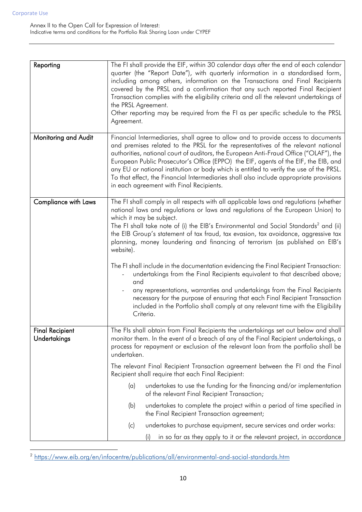| Reporting                              | The FI shall provide the EIF, within 30 calendar days after the end of each calendar<br>quarter (the "Report Date"), with quarterly information in a standardised form,<br>including among others, information on the Transactions and Final Recipients<br>covered by the PRSL and a confirmation that any such reported Final Recipient<br>Transaction complies with the eligibility criteria and all the relevant undertakings of<br>the PRSL Agreement.<br>Other reporting may be required from the FI as per specific schedule to the PRSL<br>Agreement.                                                                                                                                                                                                                                                                                                                                                                            |  |
|----------------------------------------|-----------------------------------------------------------------------------------------------------------------------------------------------------------------------------------------------------------------------------------------------------------------------------------------------------------------------------------------------------------------------------------------------------------------------------------------------------------------------------------------------------------------------------------------------------------------------------------------------------------------------------------------------------------------------------------------------------------------------------------------------------------------------------------------------------------------------------------------------------------------------------------------------------------------------------------------|--|
| Monitoring and Audit                   | Financial Intermediaries, shall agree to allow and to provide access to documents<br>and premises related to the PRSL for the representatives of the relevant national<br>authorities, national court of auditors, the European Anti-Fraud Office ("OLAF"), the<br>European Public Prosecutor's Office (EPPO) the EIF, agents of the EIF, the EIB, and<br>any EU or national institution or body which is entitled to verify the use of the PRSL.<br>To that effect, the Financial Intermediaries shall also include appropriate provisions<br>in each agreement with Final Recipients.                                                                                                                                                                                                                                                                                                                                                 |  |
| Compliance with Laws                   | The FI shall comply in all respects with all applicable laws and regulations (whether<br>national laws and regulations or laws and regulations of the European Union) to<br>which it may be subject.<br>The FI shall take note of (i) the EIB's Environmental and Social Standards <sup>2</sup> and (ii)<br>the EIB Group's statement of tax fraud, tax evasion, tax avoidance, aggressive tax<br>planning, money laundering and financing of terrorism (as published on EIB's<br>website).<br>The FI shall include in the documentation evidencing the Final Recipient Transaction:<br>undertakings from the Final Recipients equivalent to that described above;<br>and<br>any representations, warranties and undertakings from the Final Recipients<br>necessary for the purpose of ensuring that each Final Recipient Transaction<br>included in the Portfolio shall comply at any relevant time with the Eligibility<br>Criteria. |  |
| <b>Final Recipient</b><br>Undertakings | The FIs shall obtain from Final Recipients the undertakings set out below and shall<br>monitor them. In the event of a breach of any of the Final Recipient undertakings, a<br>process for repayment or exclusion of the relevant loan from the portfolio shall be<br>undertaken.<br>The relevant Final Recipient Transaction agreement between the FI and the Final<br>Recipient shall require that each Final Recipient:                                                                                                                                                                                                                                                                                                                                                                                                                                                                                                              |  |
|                                        | undertakes to use the funding for the financing and/or implementation<br>(a)<br>of the relevant Final Recipient Transaction;<br>undertakes to complete the project within a period of time specified in<br>(b)<br>the Final Recipient Transaction agreement;                                                                                                                                                                                                                                                                                                                                                                                                                                                                                                                                                                                                                                                                            |  |
|                                        | undertakes to purchase equipment, secure services and order works:<br>(c)<br>in so far as they apply to it or the relevant project, in accordance                                                                                                                                                                                                                                                                                                                                                                                                                                                                                                                                                                                                                                                                                                                                                                                       |  |

 2 https://www.eib.org/en/infocentre/publications/all/environmental-and-social-standards.htm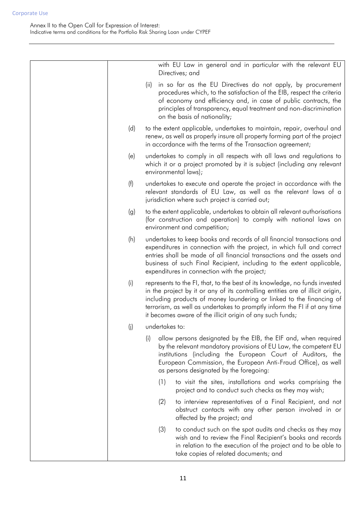|     | with EU Law in general and in particular with the relevant EU<br>Directives; and                                                                                                                                                                                                                                                                                                |
|-----|---------------------------------------------------------------------------------------------------------------------------------------------------------------------------------------------------------------------------------------------------------------------------------------------------------------------------------------------------------------------------------|
|     | in so far as the EU Directives do not apply, by procurement<br>(ii)<br>procedures which, to the satisfaction of the EIB, respect the criteria<br>of economy and efficiency and, in case of public contracts, the<br>principles of transparency, equal treatment and non-discrimination<br>on the basis of nationality;                                                          |
| (d) | to the extent applicable, undertakes to maintain, repair, overhaul and<br>renew, as well as properly insure all property forming part of the project<br>in accordance with the terms of the Transaction agreement;                                                                                                                                                              |
| (e) | undertakes to comply in all respects with all laws and regulations to<br>which it or a project promoted by it is subject (including any relevant<br>environmental laws);                                                                                                                                                                                                        |
| (f) | undertakes to execute and operate the project in accordance with the<br>relevant standards of EU Law, as well as the relevant laws of a<br>jurisdiction where such project is carried out;                                                                                                                                                                                      |
| (g) | to the extent applicable, undertakes to obtain all relevant authorisations<br>(for construction and operation) to comply with national laws on<br>environment and competition;                                                                                                                                                                                                  |
| (h) | undertakes to keep books and records of all financial transactions and<br>expenditures in connection with the project, in which full and correct<br>entries shall be made of all financial transactions and the assets and<br>business of such Final Recipient, including to the extent applicable,<br>expenditures in connection with the project;                             |
| (i) | represents to the FI, that, to the best of its knowledge, no funds invested<br>in the project by it or any of its controlling entities are of illicit origin,<br>including products of money laundering or linked to the financing of<br>terrorism, as well as undertakes to promptly inform the FI if at any time<br>it becomes aware of the illicit origin of any such funds; |
| (i) | undertakes to:                                                                                                                                                                                                                                                                                                                                                                  |
|     | allow persons designated by the EIB, the EIF and, when required<br>(i)<br>by the relevant mandatory provisions of EU Law, the competent EU<br>institutions (including the European Court of Auditors, the<br>European Commission, the European Anti-Fraud Office), as well<br>as persons designated by the foregoing:                                                           |
|     | (1)<br>to visit the sites, installations and works comprising the<br>project and to conduct such checks as they may wish;                                                                                                                                                                                                                                                       |
|     | (2)<br>to interview representatives of a Final Recipient, and not<br>obstruct contacts with any other person involved in or<br>affected by the project; and                                                                                                                                                                                                                     |
|     | (3)<br>to conduct such on the spot audits and checks as they may<br>wish and to review the Final Recipient's books and records<br>in relation to the execution of the project and to be able to<br>take copies of related documents; and                                                                                                                                        |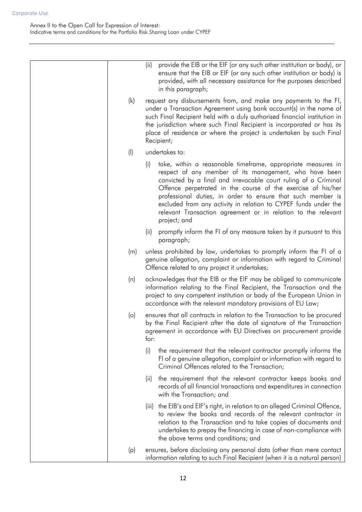|           | provide the EIB or the EIF (or any such other institution or body), or<br>(ii)<br>ensure that the EIB or EIF (or any such other institution or body) is<br>provided, with all necessary assistance for the purposes described<br>in this paragraph;                                                                                                                                                                                                                                 |
|-----------|-------------------------------------------------------------------------------------------------------------------------------------------------------------------------------------------------------------------------------------------------------------------------------------------------------------------------------------------------------------------------------------------------------------------------------------------------------------------------------------|
| (k)       | request any disbursements from, and make any payments to the FI,<br>under a Transaction Agreement using bank account(s) in the name of<br>such Final Recipient held with a duly authorised financial institution in<br>the jurisdiction where such Final Recipient is incorporated or has its<br>place of residence or where the project is undertaken by such Final<br>Recipient;                                                                                                  |
| $($ l $)$ | undertakes to:                                                                                                                                                                                                                                                                                                                                                                                                                                                                      |
|           | take, within a reasonable timeframe, appropriate measures in<br>(i)<br>respect of any member of its management, who have been<br>convicted by a final and irrevocable court ruling of a Criminal<br>Offence perpetrated in the course of the exercise of his/her<br>professional duties, in order to ensure that such member is<br>excluded from any activity in relation to CYPEF funds under the<br>relevant Transaction agreement or in relation to the relevant<br>project; and |
|           | promptly inform the FI of any measure taken by it pursuant to this<br>(ii)<br>paragraph;                                                                                                                                                                                                                                                                                                                                                                                            |
| (m)       | unless prohibited by law, undertakes to promptly inform the FI of a<br>genuine allegation, complaint or information with regard to Criminal<br>Offence related to any project it undertakes;                                                                                                                                                                                                                                                                                        |
| (n)       | acknowledges that the EIB or the EIF may be obliged to communicate<br>information relating to the Final Recipient, the Transaction and the<br>project to any competent institution or body of the European Union in<br>accordance with the relevant mandatory provisions of EU Law;                                                                                                                                                                                                 |
| $\circ$   | ensures that all contracts in relation to the Transaction to be procured<br>by the Final Recipient after the date of signature of the Transaction<br>agreement in accordance with EU Directives on procurement provide<br>for:                                                                                                                                                                                                                                                      |
|           | (i)<br>the requirement that the relevant contractor promptly informs the<br>FI of a genuine allegation, complaint or information with regard to<br>Criminal Offences related to the Transaction;                                                                                                                                                                                                                                                                                    |
|           | the requirement that the relevant contractor keeps books and<br>(ii)<br>records of all financial transactions and expenditures in connection<br>with the Transaction; and                                                                                                                                                                                                                                                                                                           |
|           | the EIB's and EIF's right, in relation to an alleged Criminal Offence,<br>(iii)<br>to review the books and records of the relevant contractor in<br>relation to the Transaction and to take copies of documents and<br>undertakes to prepay the financing in case of non-compliance with<br>the above terms and conditions; and                                                                                                                                                     |
| (p)       | ensures, before disclosing any personal data (other than mere contact<br>information relating to such Final Recipient (when it is a natural person)                                                                                                                                                                                                                                                                                                                                 |